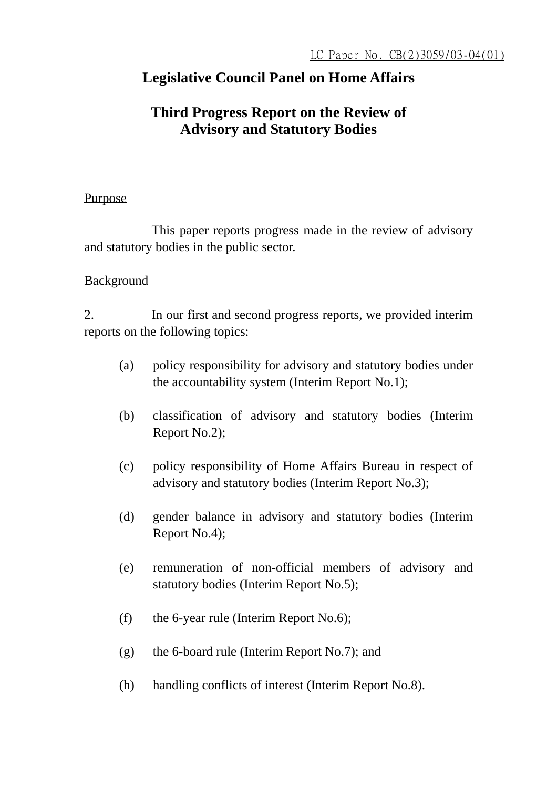# **Legislative Council Panel on Home Affairs**

# **Third Progress Report on the Review of Advisory and Statutory Bodies**

### Purpose

 This paper reports progress made in the review of advisory and statutory bodies in the public sector.

### Background

2. In our first and second progress reports, we provided interim reports on the following topics:

- (a) policy responsibility for advisory and statutory bodies under the accountability system (Interim Report No.1);
- (b) classification of advisory and statutory bodies (Interim Report No.2);
- (c) policy responsibility of Home Affairs Bureau in respect of advisory and statutory bodies (Interim Report No.3);
- (d) gender balance in advisory and statutory bodies (Interim Report No.4);
- (e) remuneration of non-official members of advisory and statutory bodies (Interim Report No.5);
- (f) the 6-year rule (Interim Report No.6);
- (g) the 6-board rule (Interim Report No.7); and
- (h) handling conflicts of interest (Interim Report No.8).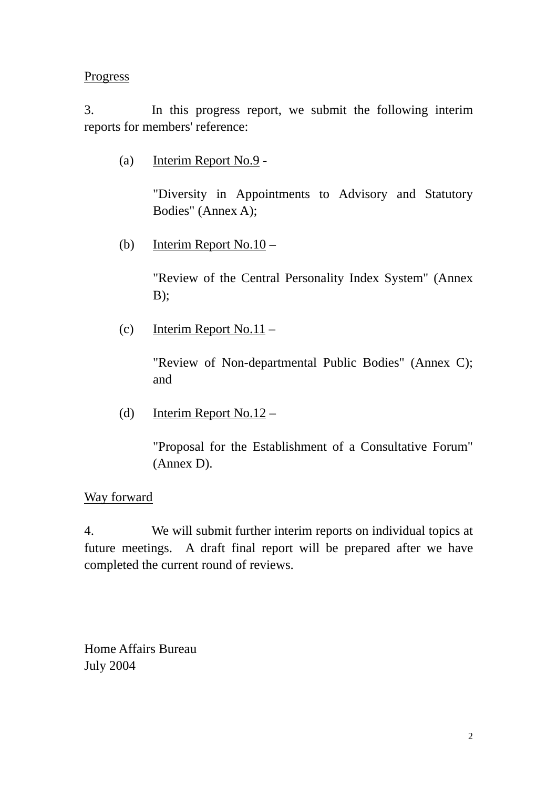### **Progress**

3. In this progress report, we submit the following interim reports for members' reference:

(a) Interim Report No.9 -

"Diversity in Appointments to Advisory and Statutory Bodies" (Annex A);

(b) Interim Report No.10 –

"Review of the Central Personality Index System" (Annex  $B)$ ;

(c) Interim Report No.11 –

"Review of Non-departmental Public Bodies" (Annex C); and

(d) Interim Report No.12 –

"Proposal for the Establishment of a Consultative Forum" (Annex D).

### Way forward

4. We will submit further interim reports on individual topics at future meetings. A draft final report will be prepared after we have completed the current round of reviews.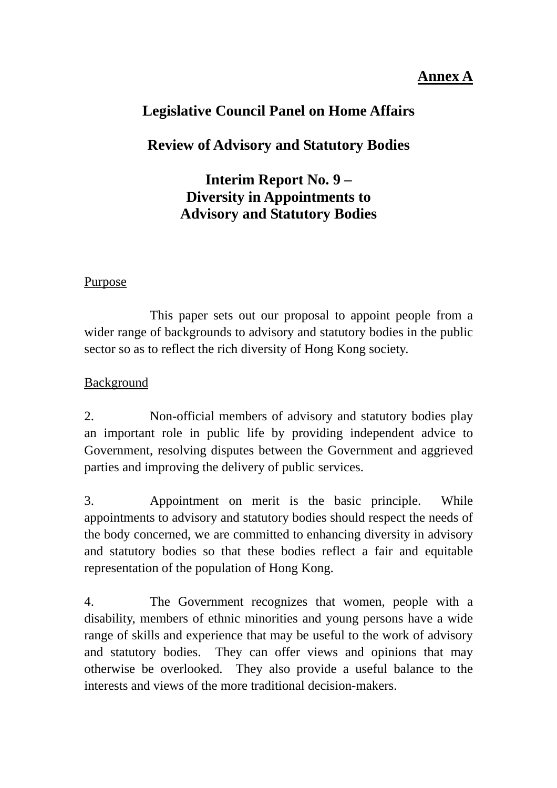# **Annex A**

# **Legislative Council Panel on Home Affairs**

# **Review of Advisory and Statutory Bodies**

# **Interim Report No. 9 – Diversity in Appointments to Advisory and Statutory Bodies**

### Purpose

 This paper sets out our proposal to appoint people from a wider range of backgrounds to advisory and statutory bodies in the public sector so as to reflect the rich diversity of Hong Kong society.

## Background

2. Non-official members of advisory and statutory bodies play an important role in public life by providing independent advice to Government, resolving disputes between the Government and aggrieved parties and improving the delivery of public services.

3. Appointment on merit is the basic principle. While appointments to advisory and statutory bodies should respect the needs of the body concerned, we are committed to enhancing diversity in advisory and statutory bodies so that these bodies reflect a fair and equitable representation of the population of Hong Kong.

4. The Government recognizes that women, people with a disability, members of ethnic minorities and young persons have a wide range of skills and experience that may be useful to the work of advisory and statutory bodies. They can offer views and opinions that may otherwise be overlooked. They also provide a useful balance to the interests and views of the more traditional decision-makers.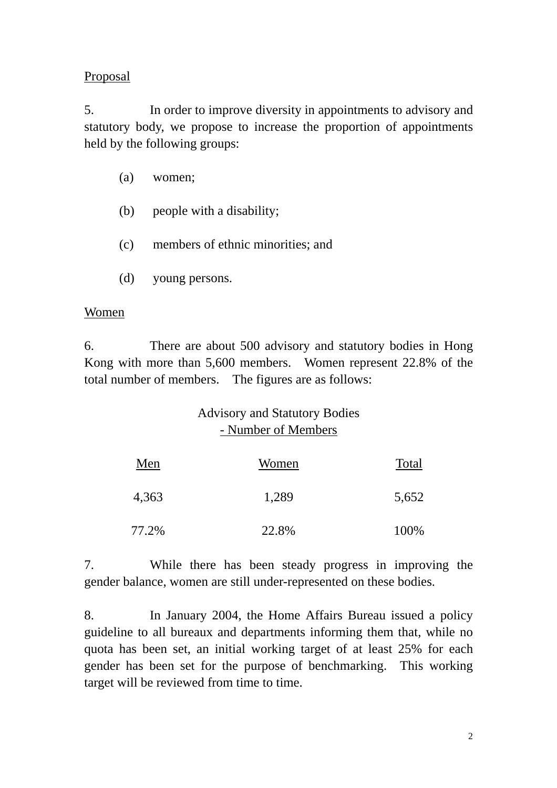### Proposal

5. In order to improve diversity in appointments to advisory and statutory body, we propose to increase the proportion of appointments held by the following groups:

- (a) women;
- (b) people with a disability;
- (c) members of ethnic minorities; and
- (d) young persons.

#### Women

6. There are about 500 advisory and statutory bodies in Hong Kong with more than 5,600 members. Women represent 22.8% of the total number of members. The figures are as follows:

## Advisory and Statutory Bodies - Number of Members

| Men   | Women | Total |
|-------|-------|-------|
| 4,363 | 1,289 | 5,652 |
| 77.2% | 22.8% | 100%  |

7. While there has been steady progress in improving the gender balance, women are still under-represented on these bodies.

8. In January 2004, the Home Affairs Bureau issued a policy guideline to all bureaux and departments informing them that, while no quota has been set, an initial working target of at least 25% for each gender has been set for the purpose of benchmarking. This working target will be reviewed from time to time.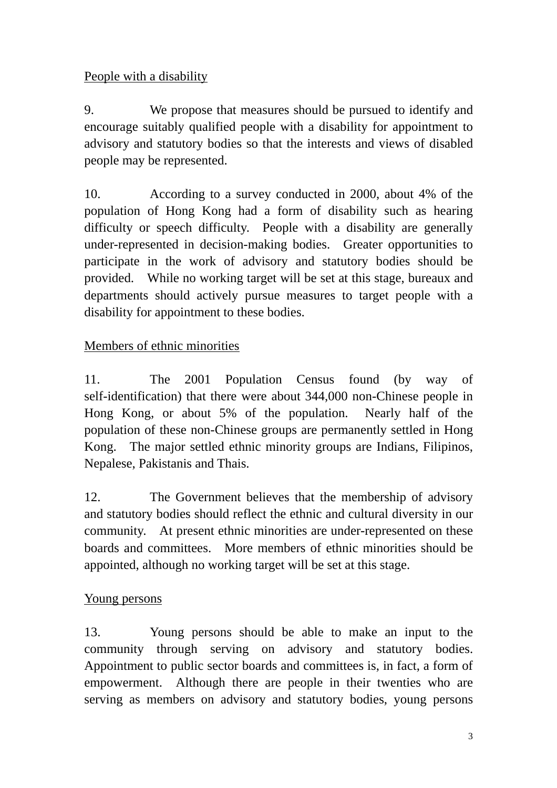## People with a disability

9. We propose that measures should be pursued to identify and encourage suitably qualified people with a disability for appointment to advisory and statutory bodies so that the interests and views of disabled people may be represented.

10. According to a survey conducted in 2000, about 4% of the population of Hong Kong had a form of disability such as hearing difficulty or speech difficulty. People with a disability are generally under-represented in decision-making bodies. Greater opportunities to participate in the work of advisory and statutory bodies should be provided. While no working target will be set at this stage, bureaux and departments should actively pursue measures to target people with a disability for appointment to these bodies.

## Members of ethnic minorities

11. The 2001 Population Census found (by way of self-identification) that there were about 344,000 non-Chinese people in Hong Kong, or about 5% of the population. Nearly half of the population of these non-Chinese groups are permanently settled in Hong Kong. The major settled ethnic minority groups are Indians, Filipinos, Nepalese, Pakistanis and Thais.

12. The Government believes that the membership of advisory and statutory bodies should reflect the ethnic and cultural diversity in our community. At present ethnic minorities are under-represented on these boards and committees. More members of ethnic minorities should be appointed, although no working target will be set at this stage.

## Young persons

13. Young persons should be able to make an input to the community through serving on advisory and statutory bodies. Appointment to public sector boards and committees is, in fact, a form of empowerment. Although there are people in their twenties who are serving as members on advisory and statutory bodies, young persons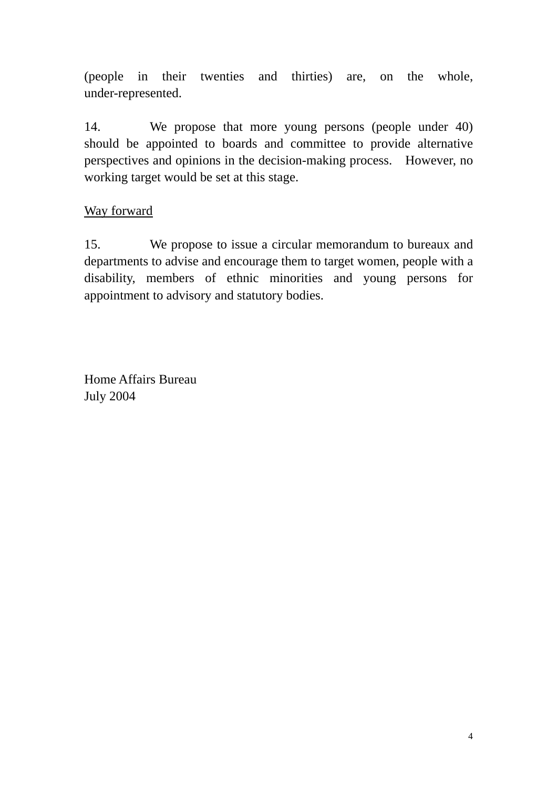(people in their twenties and thirties) are, on the whole, under-represented.

14. We propose that more young persons (people under 40) should be appointed to boards and committee to provide alternative perspectives and opinions in the decision-making process. However, no working target would be set at this stage.

### Way forward

15. We propose to issue a circular memorandum to bureaux and departments to advise and encourage them to target women, people with a disability, members of ethnic minorities and young persons for appointment to advisory and statutory bodies.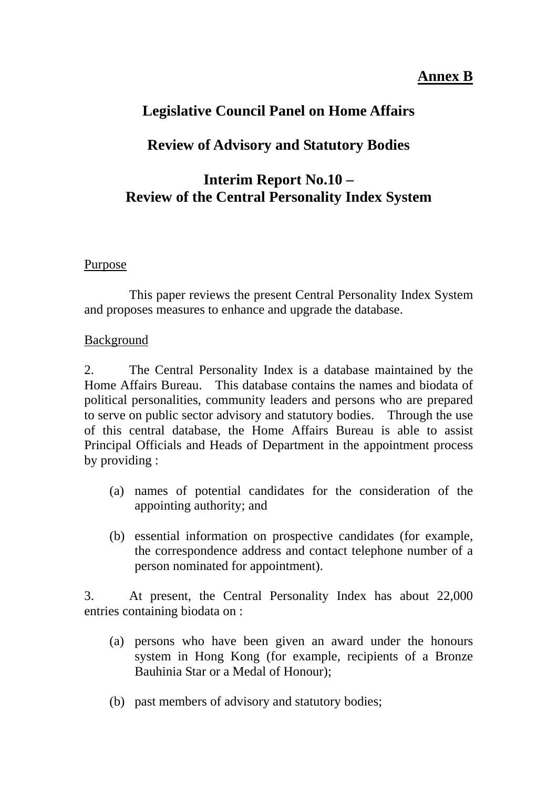## **Annex B**

# **Legislative Council Panel on Home Affairs**

# **Review of Advisory and Statutory Bodies**

# **Interim Report No.10 – Review of the Central Personality Index System**

### Purpose

 This paper reviews the present Central Personality Index System and proposes measures to enhance and upgrade the database.

### Background

2. The Central Personality Index is a database maintained by the Home Affairs Bureau. This database contains the names and biodata of political personalities, community leaders and persons who are prepared to serve on public sector advisory and statutory bodies. Through the use of this central database, the Home Affairs Bureau is able to assist Principal Officials and Heads of Department in the appointment process by providing :

- (a) names of potential candidates for the consideration of the appointing authority; and
- (b) essential information on prospective candidates (for example, the correspondence address and contact telephone number of a person nominated for appointment).

3. At present, the Central Personality Index has about 22,000 entries containing biodata on :

- (a) persons who have been given an award under the honours system in Hong Kong (for example, recipients of a Bronze Bauhinia Star or a Medal of Honour);
- (b) past members of advisory and statutory bodies;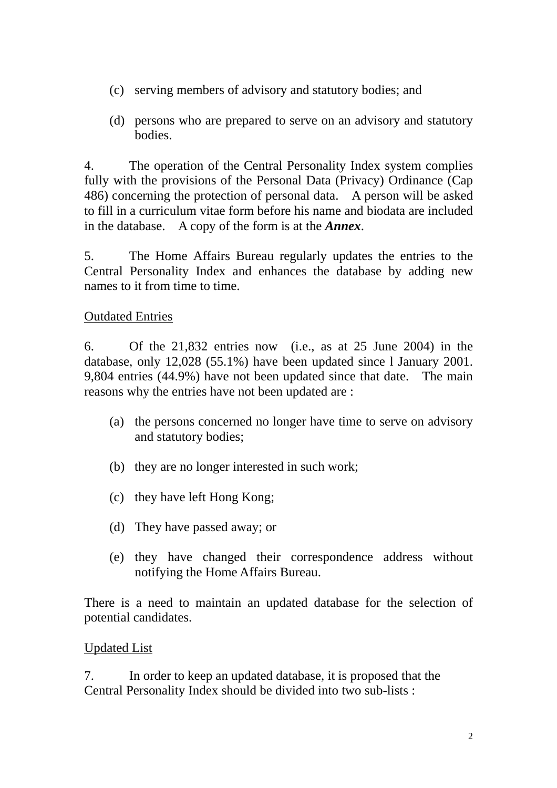- (c) serving members of advisory and statutory bodies; and
- (d) persons who are prepared to serve on an advisory and statutory bodies.

4. The operation of the Central Personality Index system complies fully with the provisions of the Personal Data (Privacy) Ordinance (Cap 486) concerning the protection of personal data. A person will be asked to fill in a curriculum vitae form before his name and biodata are included in the database. A copy of the form is at the *Annex*.

5. The Home Affairs Bureau regularly updates the entries to the Central Personality Index and enhances the database by adding new names to it from time to time.

### Outdated Entries

6. Of the 21,832 entries now (i.e., as at 25 June 2004) in the database, only 12,028 (55.1%) have been updated since l January 2001. 9,804 entries (44.9%) have not been updated since that date. The main reasons why the entries have not been updated are :

- (a) the persons concerned no longer have time to serve on advisory and statutory bodies;
- (b) they are no longer interested in such work;
- (c) they have left Hong Kong;
- (d) They have passed away; or
- (e) they have changed their correspondence address without notifying the Home Affairs Bureau.

There is a need to maintain an updated database for the selection of potential candidates.

#### Updated List

7. In order to keep an updated database, it is proposed that the Central Personality Index should be divided into two sub-lists :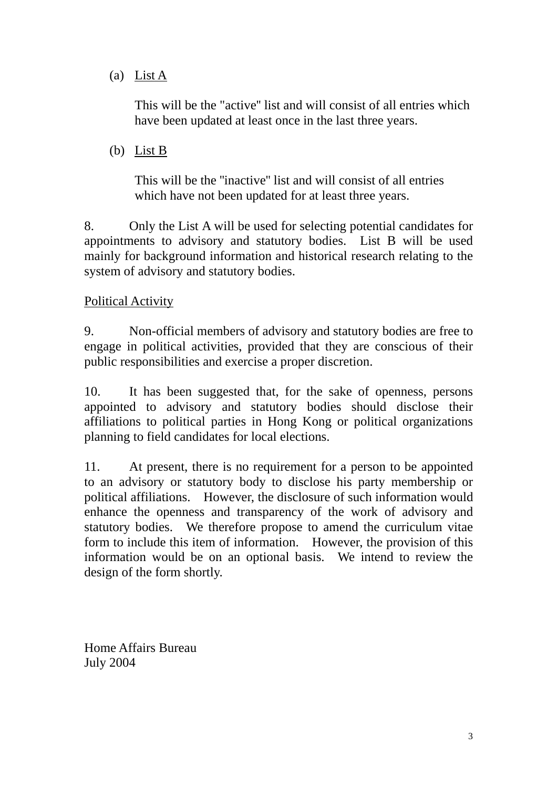### (a) List A

 This will be the "active'' list and will consist of all entries which have been updated at least once in the last three years.

(b) List B

 This will be the ''inactive'' list and will consist of all entries which have not been updated for at least three years.

8. Only the List A will be used for selecting potential candidates for appointments to advisory and statutory bodies. List B will be used mainly for background information and historical research relating to the system of advisory and statutory bodies.

### Political Activity

9. Non-official members of advisory and statutory bodies are free to engage in political activities, provided that they are conscious of their public responsibilities and exercise a proper discretion.

10. It has been suggested that, for the sake of openness, persons appointed to advisory and statutory bodies should disclose their affiliations to political parties in Hong Kong or political organizations planning to field candidates for local elections.

11. At present, there is no requirement for a person to be appointed to an advisory or statutory body to disclose his party membership or political affiliations. However, the disclosure of such information would enhance the openness and transparency of the work of advisory and statutory bodies. We therefore propose to amend the curriculum vitae form to include this item of information. However, the provision of this information would be on an optional basis. We intend to review the design of the form shortly.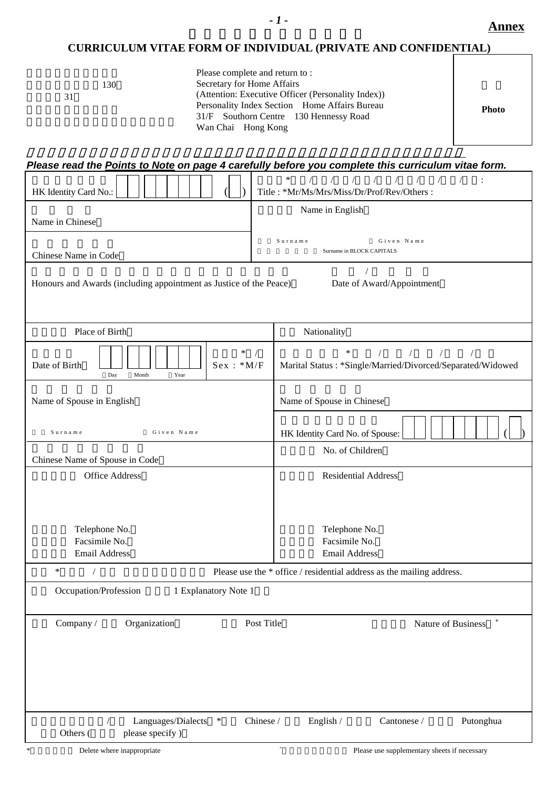#### **CURRICULUM VITAE FORM OF INDIVIDUAL (PRIVATE AND CONFIDENTIAL)**

| 130<br>31 |
|-----------|
|-----------|

| Please read the Points to Note on page 4 carefully before you complete this curriculum vitae form. |                                                                                                                                                  |  |  |  |  |
|----------------------------------------------------------------------------------------------------|--------------------------------------------------------------------------------------------------------------------------------------------------|--|--|--|--|
| HK Identity Card No.:                                                                              | $\ast$<br>$\sqrt{2}$<br>$\sqrt{2}$<br>$\sqrt{2}$<br>Title: *Mr/Ms/Mrs/Miss/Dr/Prof/Rev/Others:                                                   |  |  |  |  |
|                                                                                                    | Name in English                                                                                                                                  |  |  |  |  |
| Name in Chinese                                                                                    |                                                                                                                                                  |  |  |  |  |
|                                                                                                    | Surname<br>Given Name                                                                                                                            |  |  |  |  |
| Chinese Name in Code                                                                               | Surname in BLOCK CAPITALS                                                                                                                        |  |  |  |  |
| Honours and Awards (including appointment as Justice of the Peace)                                 | Date of Award/Appointment                                                                                                                        |  |  |  |  |
| Place of Birth                                                                                     | Nationality                                                                                                                                      |  |  |  |  |
| $\ast$<br>$Sex : *M/F$<br>Date of Birth<br>Day<br>Year<br>Month                                    | $\frac{1}{2}$ $\frac{1}{2}$ $\frac{1}{2}$<br>$\frac{1}{2}$<br>$\ast$<br>$\sqrt{2}$<br>Marital Status: *Single/Married/Divorced/Separated/Widowed |  |  |  |  |
| Name of Spouse in English                                                                          | Name of Spouse in Chinese                                                                                                                        |  |  |  |  |
| Surname<br>Given Name                                                                              | HK Identity Card No. of Spouse:                                                                                                                  |  |  |  |  |
| Chinese Name of Spouse in Code                                                                     | No. of Children                                                                                                                                  |  |  |  |  |
| <b>Office Address</b>                                                                              | <b>Residential Address</b>                                                                                                                       |  |  |  |  |
| Telephone No.<br>Facsimile No.                                                                     | Telephone No.<br>Facsimile No.                                                                                                                   |  |  |  |  |
| <b>Email Address</b>                                                                               | <b>Email Address</b>                                                                                                                             |  |  |  |  |
| $\ast$<br>$\sqrt{2}$                                                                               | Please use the * office / residential address as the mailing address.                                                                            |  |  |  |  |
| Occupation/Profession<br>1 Explanatory Note 1                                                      |                                                                                                                                                  |  |  |  |  |
| Organization<br>Company /                                                                          | $^{+}$<br>Post Title<br>Nature of Business                                                                                                       |  |  |  |  |
|                                                                                                    |                                                                                                                                                  |  |  |  |  |
|                                                                                                    |                                                                                                                                                  |  |  |  |  |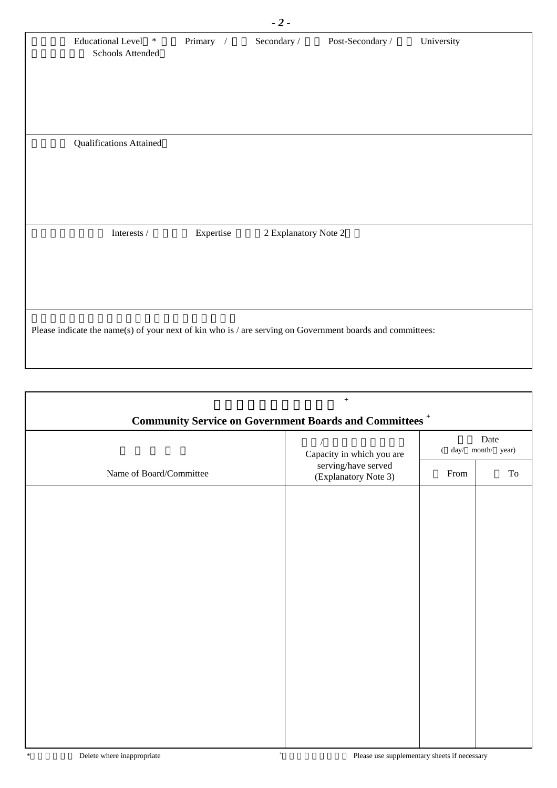|        |                                                                                               | $-2-$                  |                  |                      |                                                                                                           |
|--------|-----------------------------------------------------------------------------------------------|------------------------|------------------|----------------------|-----------------------------------------------------------------------------------------------------------|
| $\ast$ | Primary /                                                                                     | Secondary $\mathcal N$ | Post-Secondary / | University           |                                                                                                           |
|        |                                                                                               |                        |                  |                      |                                                                                                           |
|        |                                                                                               |                        |                  |                      |                                                                                                           |
|        |                                                                                               |                        |                  |                      |                                                                                                           |
|        | Expertise                                                                                     |                        |                  |                      |                                                                                                           |
|        |                                                                                               |                        |                  |                      |                                                                                                           |
|        |                                                                                               |                        |                  |                      |                                                                                                           |
|        | <b>Educational Level</b><br>Schools Attended<br><b>Qualifications Attained</b><br>Interests / |                        |                  | 2 Explanatory Note 2 | Please indicate the name(s) of your next of kin who is / are serving on Government boards and committees: |

| $\boldsymbol{+}$<br><b>Community Service on Government Boards and Committees<sup>+</sup></b> |                                             |                                       |    |  |  |  |
|----------------------------------------------------------------------------------------------|---------------------------------------------|---------------------------------------|----|--|--|--|
|                                                                                              | Capacity in which you are                   | Date<br>month/ year)<br>$\left($ day/ |    |  |  |  |
| Name of Board/Committee                                                                      | serving/have served<br>(Explanatory Note 3) |                                       | To |  |  |  |
|                                                                                              |                                             |                                       |    |  |  |  |
|                                                                                              |                                             |                                       |    |  |  |  |
|                                                                                              |                                             |                                       |    |  |  |  |
|                                                                                              |                                             |                                       |    |  |  |  |
|                                                                                              |                                             |                                       |    |  |  |  |
|                                                                                              |                                             |                                       |    |  |  |  |
|                                                                                              |                                             |                                       |    |  |  |  |
|                                                                                              |                                             |                                       |    |  |  |  |
|                                                                                              |                                             |                                       |    |  |  |  |
|                                                                                              |                                             |                                       |    |  |  |  |
|                                                                                              |                                             |                                       |    |  |  |  |
|                                                                                              |                                             |                                       |    |  |  |  |

 $\overline{\phantom{a}}$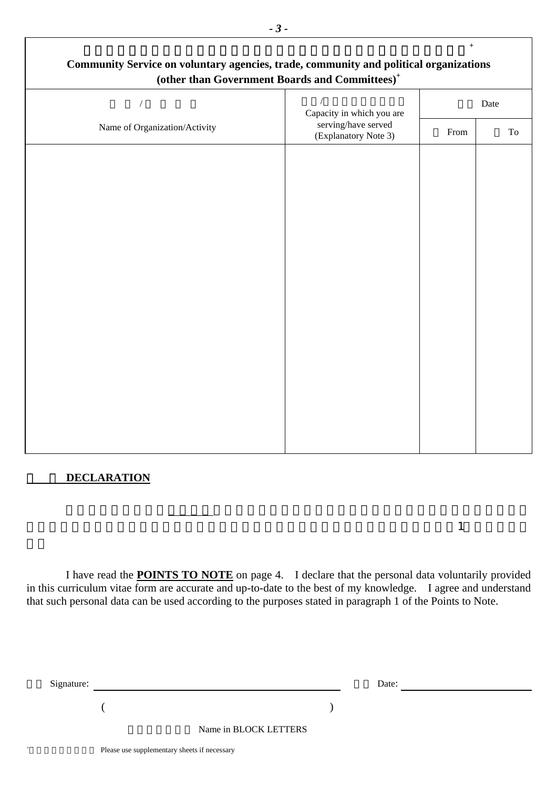|                                             | Date                      |  |
|---------------------------------------------|---------------------------|--|
| serving/have served<br>(Explanatory Note 3) | From                      |  |
|                                             |                           |  |
|                                             |                           |  |
|                                             |                           |  |
|                                             |                           |  |
|                                             |                           |  |
|                                             |                           |  |
|                                             |                           |  |
|                                             |                           |  |
|                                             |                           |  |
|                                             |                           |  |
|                                             |                           |  |
|                                             | Capacity in which you are |  |

#### **DECLARATION**

+

 $\overline{\Gamma}$ 

I have read the **POINTS TO NOTE** on page 4. I declare that the personal data voluntarily provided in this curriculum vitae form are accurate and up-to-date to the best of my knowledge. I agree and understand that such personal data can be used according to the purposes stated in paragraph 1 of the Points to Note.

 $\bm{1}$ 

| Signature: |                       | Date: |  |
|------------|-----------------------|-------|--|
|            |                       |       |  |
|            | Name in BLOCK LETTERS |       |  |

٦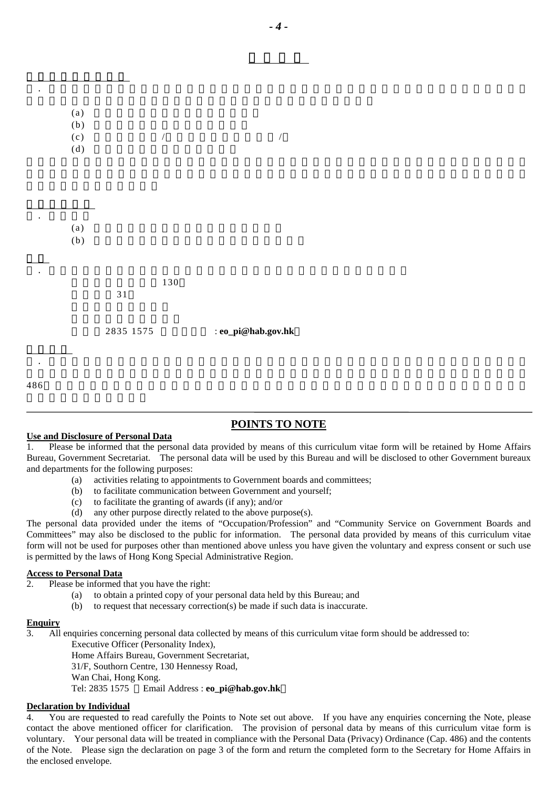| $\bullet$ | (a)<br>(b)<br>(c)<br>(d) |             | $\sqrt{ }$ |                    | $\overline{ }$ |  |  |
|-----------|--------------------------|-------------|------------|--------------------|----------------|--|--|
|           | (a)<br>(b)               |             |            |                    |                |  |  |
|           |                          | $3\sqrt{1}$ | 130        |                    |                |  |  |
|           |                          | 2835 1575   |            | : eo_pi@hab.gov.hk |                |  |  |
| 486       |                          |             |            |                    |                |  |  |

#### **POINTS TO NOTE**

#### **Use and Disclosure of Personal Data**

使用和透露個人資料

1. Please be informed that the personal data provided by means of this curriculum vitae form will be retained by Home Affairs Bureau, Government Secretariat. The personal data will be used by this Bureau and will be disclosed to other Government bureaux and departments for the following purposes:

- (a) activities relating to appointments to Government boards and committees;
- (b) to facilitate communication between Government and yourself;
- (c) to facilitate the granting of awards (if any); and/or
- (d) any other purpose directly related to the above purpose(s).

The personal data provided under the items of "Occupation/Profession" and "Community Service on Government Boards and Committees" may also be disclosed to the public for information. The personal data provided by means of this curriculum vitae form will not be used for purposes other than mentioned above unless you have given the voluntary and express consent or such use is permitted by the laws of Hong Kong Special Administrative Region.

#### **Access to Personal Data**

- 2. Please be informed that you have the right:
	- (a) to obtain a printed copy of your personal data held by this Bureau; and
	- (b) to request that necessary correction(s) be made if such data is inaccurate.

#### **Enquiry**

3. All enquiries concerning personal data collected by means of this curriculum vitae form should be addressed to:

Executive Officer (Personality Index),

Home Affairs Bureau, Government Secretariat,

31/F, Southorn Centre, 130 Hennessy Road,

Wan Chai, Hong Kong.

Tel: 2835 1575 Email Address : **eo\_pi@hab.gov.hk**

#### **Declaration by Individual**

4. You are requested to read carefully the Points to Note set out above. If you have any enquiries concerning the Note, please contact the above mentioned officer for clarification. The provision of personal data by means of this curriculum vitae form is voluntary. Your personal data will be treated in compliance with the Personal Data (Privacy) Ordinance (Cap. 486) and the contents of the Note. Please sign the declaration on page 3 of the form and return the completed form to the Secretary for Home Affairs in the enclosed envelope.

須知事項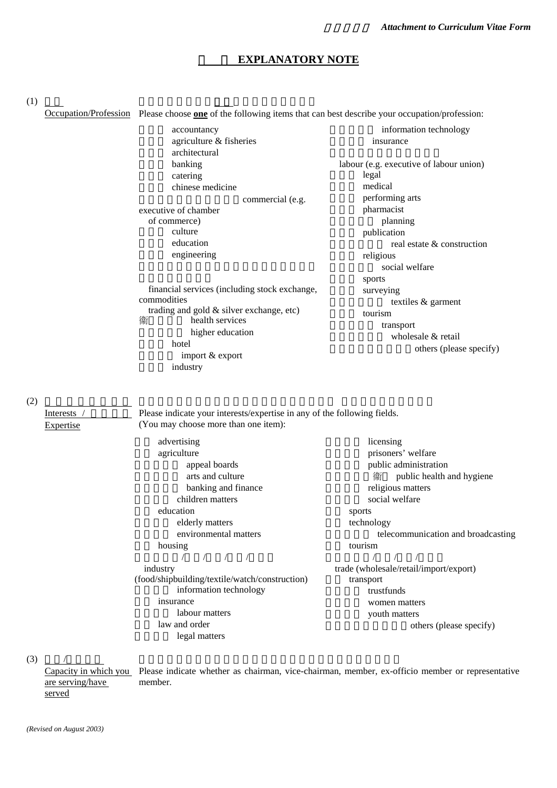#### **EXPLANATORY NOTE**

 $(1)$ 

Occupation/Profession Please choose **one** of the following items that can best describe your occupation/profession:

|             | accountancy                                                              | information technology                        |
|-------------|--------------------------------------------------------------------------|-----------------------------------------------|
|             | agriculture & fisheries                                                  | insurance                                     |
|             | architectural                                                            |                                               |
|             | banking                                                                  | labour (e.g. executive of labour union)       |
|             | catering                                                                 | legal                                         |
|             | chinese medicine                                                         | medical                                       |
|             | commercial (e.g.                                                         | performing arts                               |
|             | executive of chamber                                                     | pharmacist                                    |
|             | of commerce)                                                             | planning                                      |
|             | culture                                                                  | publication                                   |
|             | education                                                                | real estate & construction                    |
|             | engineering                                                              | religious                                     |
|             |                                                                          | social welfare                                |
|             |                                                                          | sports                                        |
|             | financial services (including stock exchange,                            | surveying                                     |
|             | commodities                                                              | textiles & garment                            |
|             | trading and gold & silver exchange, etc)                                 | tourism                                       |
|             | health services<br>衞                                                     | transport                                     |
|             | higher education                                                         | wholesale & retail                            |
|             | hotel                                                                    | others (please specify)                       |
|             | import & export                                                          |                                               |
|             | industry                                                                 |                                               |
| (2)         |                                                                          |                                               |
| Interests / | Please indicate your interests/expertise in any of the following fields. |                                               |
| Expertise   | (You may choose more than one item):                                     |                                               |
|             | advertising                                                              | licensing                                     |
|             | agriculture                                                              | prisoners' welfare                            |
|             | appeal boards                                                            | public administration                         |
|             | arts and culture                                                         | public health and hygiene<br>衞                |
|             | banking and finance                                                      | religious matters                             |
|             | children matters                                                         | social welfare                                |
|             | education                                                                | sports                                        |
|             | elderly matters                                                          | technology                                    |
|             | environmental matters                                                    | telecommunication and broadcasting            |
|             | housing                                                                  | tourism                                       |
|             | $\mathbf{1}$ $\mathbf{1}$                                                | $\mathcal{L}$ and $\mathcal{L}$<br>$\sqrt{1}$ |

工業﹝飲食/造船/製衣/鐘錶/建築﹞ industry (food/shipbuilding/textile/watch/construction) information technology insurance labour matters law and order

legal matters

貿易﹝批發/零售/入口/出口﹞ trade (wholesale/retail/import/export) transport trustfunds women matters youth matters others (please specify)

 $(3)$ 

are serving/have served

Capacity in which you Please indicate whether as chairman, vice-chairman, member, ex-officio member or representative member.

*(Revised on August 2003)*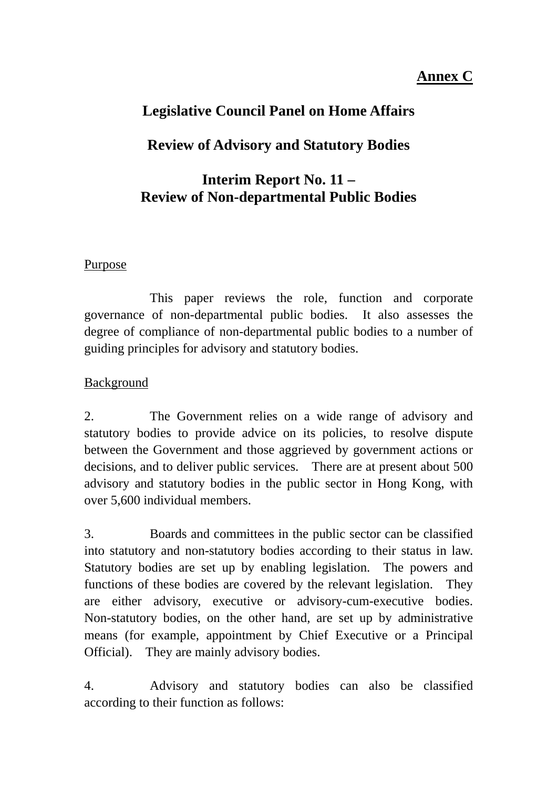# **Annex C**

# **Legislative Council Panel on Home Affairs**

# **Review of Advisory and Statutory Bodies**

# **Interim Report No. 11 – Review of Non-departmental Public Bodies**

### Purpose

 This paper reviews the role, function and corporate governance of non-departmental public bodies. It also assesses the degree of compliance of non-departmental public bodies to a number of guiding principles for advisory and statutory bodies.

### Background

2. The Government relies on a wide range of advisory and statutory bodies to provide advice on its policies, to resolve dispute between the Government and those aggrieved by government actions or decisions, and to deliver public services. There are at present about 500 advisory and statutory bodies in the public sector in Hong Kong, with over 5,600 individual members.

3. Boards and committees in the public sector can be classified into statutory and non-statutory bodies according to their status in law. Statutory bodies are set up by enabling legislation. The powers and functions of these bodies are covered by the relevant legislation. They are either advisory, executive or advisory-cum-executive bodies. Non-statutory bodies, on the other hand, are set up by administrative means (for example, appointment by Chief Executive or a Principal Official). They are mainly advisory bodies.

4. Advisory and statutory bodies can also be classified according to their function as follows: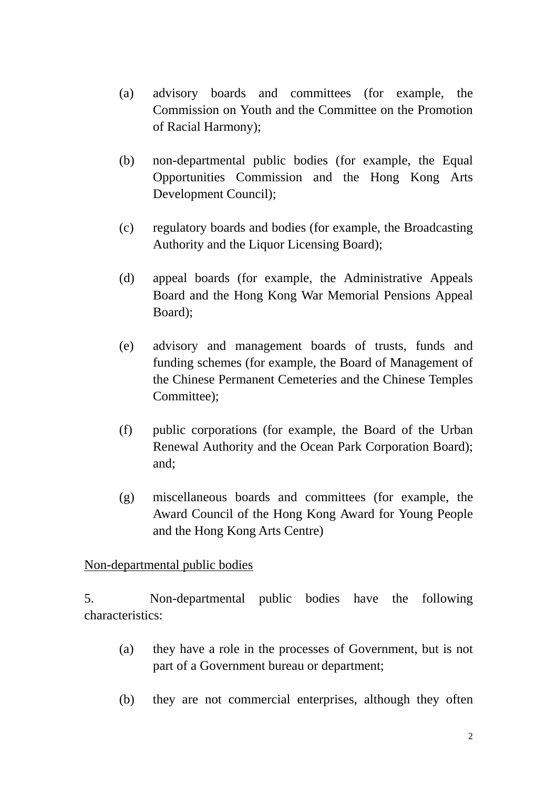- (a) advisory boards and committees (for example, the Commission on Youth and the Committee on the Promotion of Racial Harmony);
- (b) non-departmental public bodies (for example, the Equal Opportunities Commission and the Hong Kong Arts Development Council);
- (c) regulatory boards and bodies (for example, the Broadcasting Authority and the Liquor Licensing Board);
- (d) appeal boards (for example, the Administrative Appeals Board and the Hong Kong War Memorial Pensions Appeal Board);
- (e) advisory and management boards of trusts, funds and funding schemes (for example, the Board of Management of the Chinese Permanent Cemeteries and the Chinese Temples Committee);
- (f) public corporations (for example, the Board of the Urban Renewal Authority and the Ocean Park Corporation Board); and;
- (g) miscellaneous boards and committees (for example, the Award Council of the Hong Kong Award for Young People and the Hong Kong Arts Centre)

Non-departmental public bodies

5. Non-departmental public bodies have the following characteristics:

- (a) they have a role in the processes of Government, but is not part of a Government bureau or department;
- (b) they are not commercial enterprises, although they often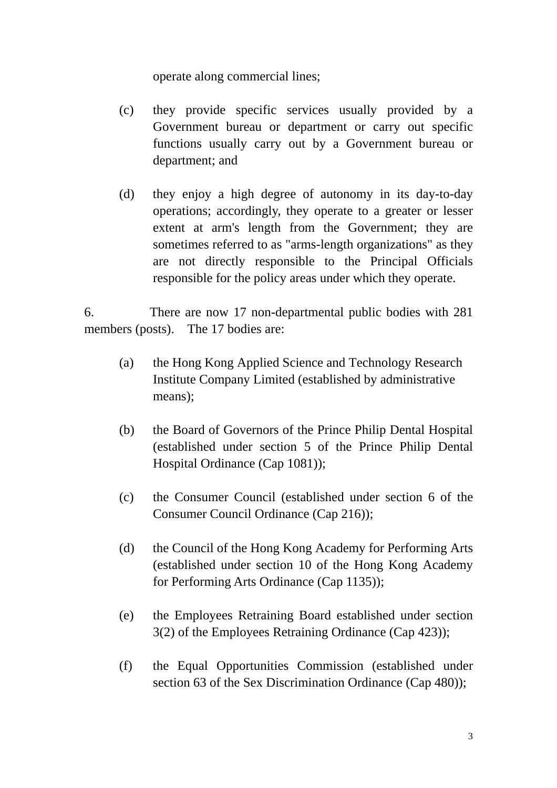operate along commercial lines;

- (c) they provide specific services usually provided by a Government bureau or department or carry out specific functions usually carry out by a Government bureau or department; and
- (d) they enjoy a high degree of autonomy in its day-to-day operations; accordingly, they operate to a greater or lesser extent at arm's length from the Government; they are sometimes referred to as "arms-length organizations" as they are not directly responsible to the Principal Officials responsible for the policy areas under which they operate.

6. There are now 17 non-departmental public bodies with 281 members (posts). The 17 bodies are:

- (a) the Hong Kong Applied Science and Technology Research Institute Company Limited (established by administrative means);
- (b) the Board of Governors of the Prince Philip Dental Hospital (established under section 5 of the Prince Philip Dental Hospital Ordinance (Cap 1081));
- (c) the Consumer Council (established under section 6 of the Consumer Council Ordinance (Cap 216));
- (d) the Council of the Hong Kong Academy for Performing Arts (established under section 10 of the Hong Kong Academy for Performing Arts Ordinance (Cap 1135));
- (e) the Employees Retraining Board established under section 3(2) of the Employees Retraining Ordinance (Cap 423));
- (f) the Equal Opportunities Commission (established under section 63 of the Sex Discrimination Ordinance (Cap 480));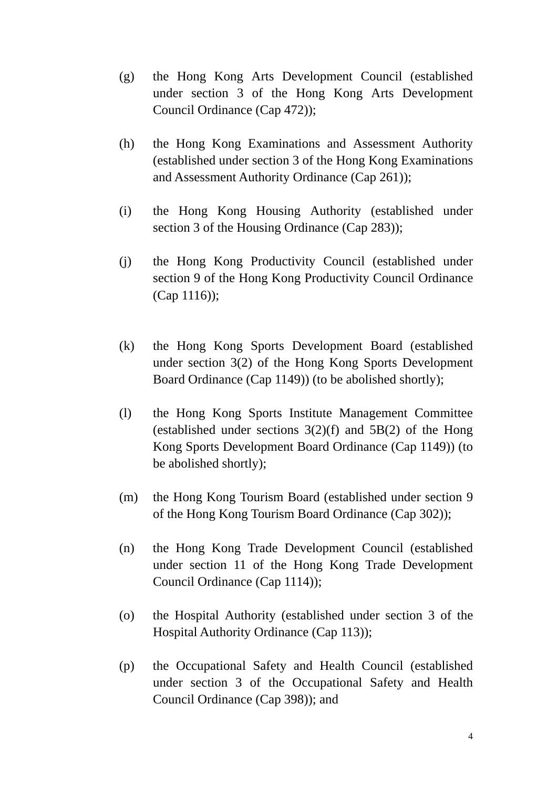- (g) the Hong Kong Arts Development Council (established under section 3 of the Hong Kong Arts Development Council Ordinance (Cap 472));
- (h) the Hong Kong Examinations and Assessment Authority (established under section 3 of the Hong Kong Examinations and Assessment Authority Ordinance (Cap 261));
- (i) the Hong Kong Housing Authority (established under section 3 of the Housing Ordinance (Cap 283));
- (j) the Hong Kong Productivity Council (established under section 9 of the Hong Kong Productivity Council Ordinance (Cap 1116));
- (k) the Hong Kong Sports Development Board (established under section 3(2) of the Hong Kong Sports Development Board Ordinance (Cap 1149)) (to be abolished shortly);
- (l) the Hong Kong Sports Institute Management Committee (established under sections  $3(2)(f)$  and  $5B(2)$  of the Hong Kong Sports Development Board Ordinance (Cap 1149)) (to be abolished shortly);
- (m) the Hong Kong Tourism Board (established under section 9 of the Hong Kong Tourism Board Ordinance (Cap 302));
- (n) the Hong Kong Trade Development Council (established under section 11 of the Hong Kong Trade Development Council Ordinance (Cap 1114));
- (o) the Hospital Authority (established under section 3 of the Hospital Authority Ordinance (Cap 113));
- (p) the Occupational Safety and Health Council (established under section 3 of the Occupational Safety and Health Council Ordinance (Cap 398)); and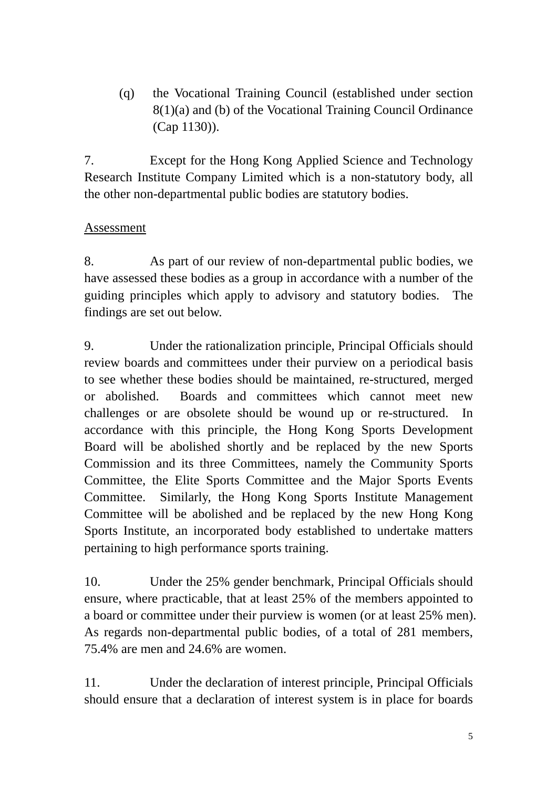(q) the Vocational Training Council (established under section 8(1)(a) and (b) of the Vocational Training Council Ordinance (Cap 1130)).

7. Except for the Hong Kong Applied Science and Technology Research Institute Company Limited which is a non-statutory body, all the other non-departmental public bodies are statutory bodies.

## Assessment

8. As part of our review of non-departmental public bodies, we have assessed these bodies as a group in accordance with a number of the guiding principles which apply to advisory and statutory bodies. The findings are set out below.

9. Under the rationalization principle, Principal Officials should review boards and committees under their purview on a periodical basis to see whether these bodies should be maintained, re-structured, merged or abolished. Boards and committees which cannot meet new challenges or are obsolete should be wound up or re-structured. In accordance with this principle, the Hong Kong Sports Development Board will be abolished shortly and be replaced by the new Sports Commission and its three Committees, namely the Community Sports Committee, the Elite Sports Committee and the Major Sports Events Committee. Similarly, the Hong Kong Sports Institute Management Committee will be abolished and be replaced by the new Hong Kong Sports Institute, an incorporated body established to undertake matters pertaining to high performance sports training.

10. Under the 25% gender benchmark, Principal Officials should ensure, where practicable, that at least 25% of the members appointed to a board or committee under their purview is women (or at least 25% men). As regards non-departmental public bodies, of a total of 281 members, 75.4% are men and 24.6% are women.

11. Under the declaration of interest principle, Principal Officials should ensure that a declaration of interest system is in place for boards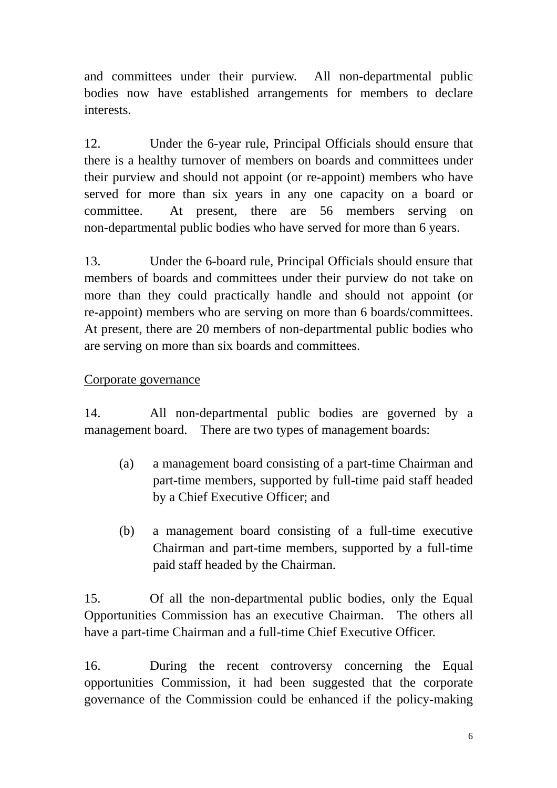and committees under their purview. All non-departmental public bodies now have established arrangements for members to declare interests.

12. Under the 6-year rule, Principal Officials should ensure that there is a healthy turnover of members on boards and committees under their purview and should not appoint (or re-appoint) members who have served for more than six years in any one capacity on a board or committee. At present, there are 56 members serving on non-departmental public bodies who have served for more than 6 years.

13. Under the 6-board rule, Principal Officials should ensure that members of boards and committees under their purview do not take on more than they could practically handle and should not appoint (or re-appoint) members who are serving on more than 6 boards/committees. At present, there are 20 members of non-departmental public bodies who are serving on more than six boards and committees.

### Corporate governance

14. All non-departmental public bodies are governed by a management board. There are two types of management boards:

- (a) a management board consisting of a part-time Chairman and part-time members, supported by full-time paid staff headed by a Chief Executive Officer; and
- (b) a management board consisting of a full-time executive Chairman and part-time members, supported by a full-time paid staff headed by the Chairman.

15. Of all the non-departmental public bodies, only the Equal Opportunities Commission has an executive Chairman. The others all have a part-time Chairman and a full-time Chief Executive Officer.

16. During the recent controversy concerning the Equal opportunities Commission, it had been suggested that the corporate governance of the Commission could be enhanced if the policy-making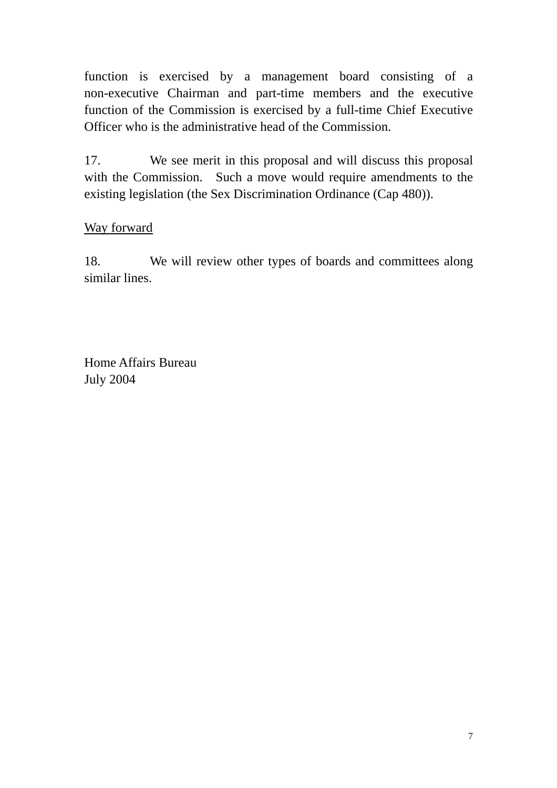function is exercised by a management board consisting of a non-executive Chairman and part-time members and the executive function of the Commission is exercised by a full-time Chief Executive Officer who is the administrative head of the Commission.

17. We see merit in this proposal and will discuss this proposal with the Commission. Such a move would require amendments to the existing legislation (the Sex Discrimination Ordinance (Cap 480)).

# Way forward

18. We will review other types of boards and committees along similar lines.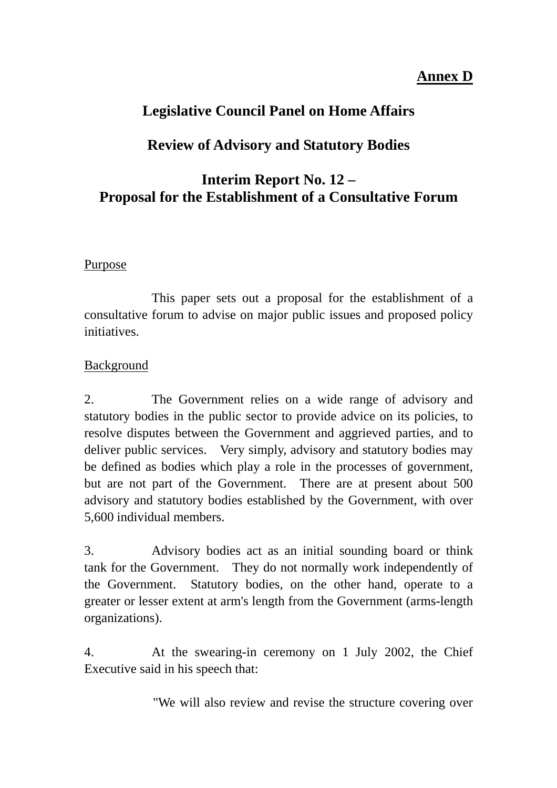# **Annex D**

# **Legislative Council Panel on Home Affairs**

# **Review of Advisory and Statutory Bodies**

# **Interim Report No. 12 – Proposal for the Establishment of a Consultative Forum**

### Purpose

 This paper sets out a proposal for the establishment of a consultative forum to advise on major public issues and proposed policy initiatives.

### Background

2. The Government relies on a wide range of advisory and statutory bodies in the public sector to provide advice on its policies, to resolve disputes between the Government and aggrieved parties, and to deliver public services. Very simply, advisory and statutory bodies may be defined as bodies which play a role in the processes of government, but are not part of the Government. There are at present about 500 advisory and statutory bodies established by the Government, with over 5,600 individual members.

3. Advisory bodies act as an initial sounding board or think tank for the Government. They do not normally work independently of the Government. Statutory bodies, on the other hand, operate to a greater or lesser extent at arm's length from the Government (arms-length organizations).

4. At the swearing-in ceremony on 1 July 2002, the Chief Executive said in his speech that:

"We will also review and revise the structure covering over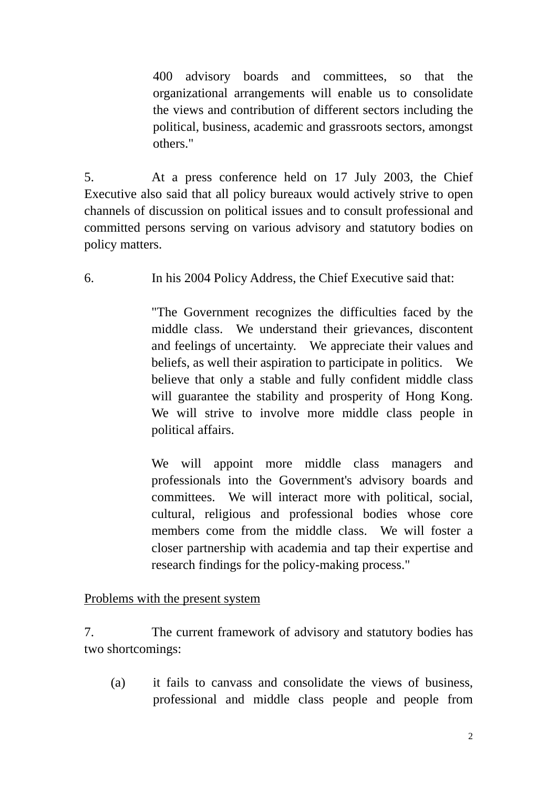400 advisory boards and committees, so that the organizational arrangements will enable us to consolidate the views and contribution of different sectors including the political, business, academic and grassroots sectors, amongst others."

5. At a press conference held on 17 July 2003, the Chief Executive also said that all policy bureaux would actively strive to open channels of discussion on political issues and to consult professional and committed persons serving on various advisory and statutory bodies on policy matters.

6. In his 2004 Policy Address, the Chief Executive said that:

 "The Government recognizes the difficulties faced by the middle class. We understand their grievances, discontent and feelings of uncertainty. We appreciate their values and beliefs, as well their aspiration to participate in politics. We believe that only a stable and fully confident middle class will guarantee the stability and prosperity of Hong Kong. We will strive to involve more middle class people in political affairs.

We will appoint more middle class managers and professionals into the Government's advisory boards and committees. We will interact more with political, social, cultural, religious and professional bodies whose core members come from the middle class. We will foster a closer partnership with academia and tap their expertise and research findings for the policy-making process."

Problems with the present system

7. The current framework of advisory and statutory bodies has two shortcomings:

(a) it fails to canvass and consolidate the views of business, professional and middle class people and people from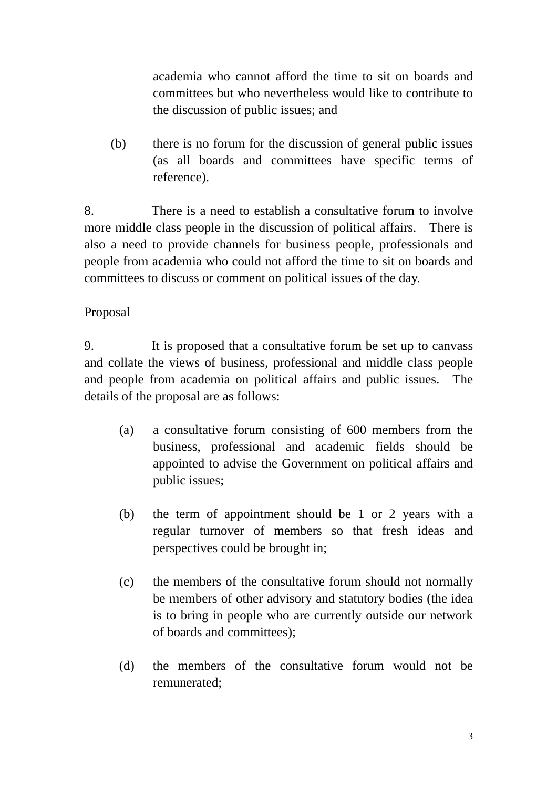academia who cannot afford the time to sit on boards and committees but who nevertheless would like to contribute to the discussion of public issues; and

(b) there is no forum for the discussion of general public issues (as all boards and committees have specific terms of reference).

8. There is a need to establish a consultative forum to involve more middle class people in the discussion of political affairs. There is also a need to provide channels for business people, professionals and people from academia who could not afford the time to sit on boards and committees to discuss or comment on political issues of the day.

### Proposal

9. It is proposed that a consultative forum be set up to canvass and collate the views of business, professional and middle class people and people from academia on political affairs and public issues. The details of the proposal are as follows:

- (a) a consultative forum consisting of 600 members from the business, professional and academic fields should be appointed to advise the Government on political affairs and public issues;
- (b) the term of appointment should be 1 or 2 years with a regular turnover of members so that fresh ideas and perspectives could be brought in;
- (c) the members of the consultative forum should not normally be members of other advisory and statutory bodies (the idea is to bring in people who are currently outside our network of boards and committees);
- (d) the members of the consultative forum would not be remunerated;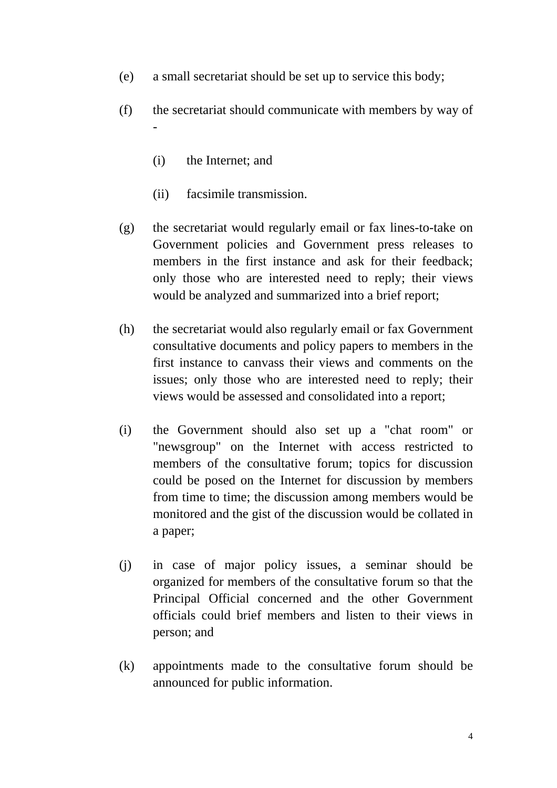- (e) a small secretariat should be set up to service this body;
- (f) the secretariat should communicate with members by way of -
	- (i) the Internet; and
	- (ii) facsimile transmission.
- (g) the secretariat would regularly email or fax lines-to-take on Government policies and Government press releases to members in the first instance and ask for their feedback; only those who are interested need to reply; their views would be analyzed and summarized into a brief report;
- (h) the secretariat would also regularly email or fax Government consultative documents and policy papers to members in the first instance to canvass their views and comments on the issues; only those who are interested need to reply; their views would be assessed and consolidated into a report;
- (i) the Government should also set up a "chat room" or "newsgroup" on the Internet with access restricted to members of the consultative forum; topics for discussion could be posed on the Internet for discussion by members from time to time; the discussion among members would be monitored and the gist of the discussion would be collated in a paper;
- (j) in case of major policy issues, a seminar should be organized for members of the consultative forum so that the Principal Official concerned and the other Government officials could brief members and listen to their views in person; and
- (k) appointments made to the consultative forum should be announced for public information.